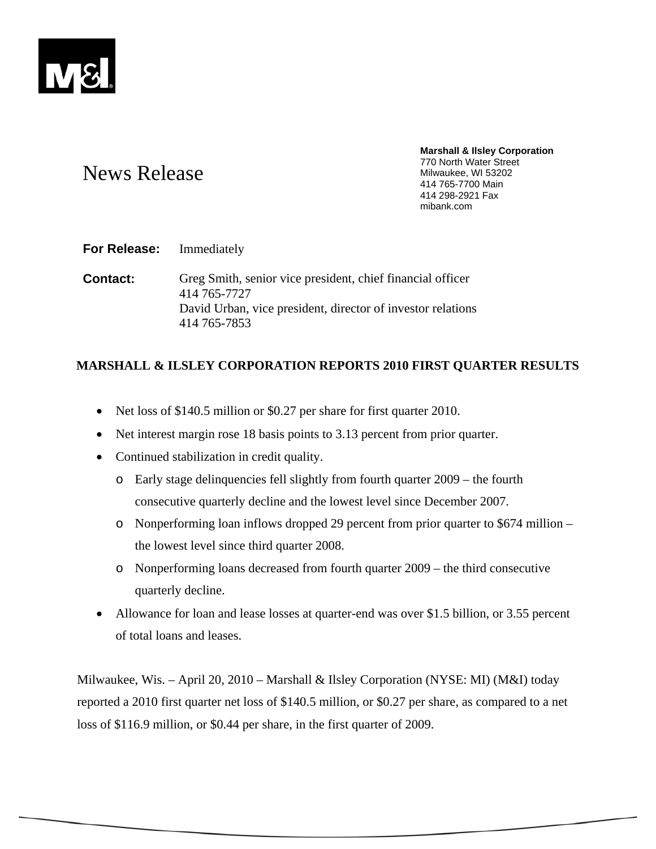

# News Release

**Marshall & Ilsley Corporation**  770 North Water Street Milwaukee, WI 53202 414 765-7700 Main 414 298-2921 Fax mibank.com

# **For Release:** Immediately

**Contact:** Greg Smith, senior vice president, chief financial officer 414 765-7727 David Urban, vice president, director of investor relations 414 765-7853

# **MARSHALL & ILSLEY CORPORATION REPORTS 2010 FIRST QUARTER RESULTS**

- Net loss of \$140.5 million or \$0.27 per share for first quarter 2010.
- Net interest margin rose 18 basis points to 3.13 percent from prior quarter.
- Continued stabilization in credit quality.
	- o Early stage delinquencies fell slightly from fourth quarter 2009 the fourth consecutive quarterly decline and the lowest level since December 2007.
	- o Nonperforming loan inflows dropped 29 percent from prior quarter to \$674 million the lowest level since third quarter 2008.
	- o Nonperforming loans decreased from fourth quarter 2009 the third consecutive quarterly decline.
- Allowance for loan and lease losses at quarter-end was over \$1.5 billion, or 3.55 percent of total loans and leases.

Milwaukee, Wis. – April 20, 2010 – Marshall & Ilsley Corporation (NYSE: MI) (M&I) today reported a 2010 first quarter net loss of \$140.5 million, or \$0.27 per share, as compared to a net loss of \$116.9 million, or \$0.44 per share, in the first quarter of 2009.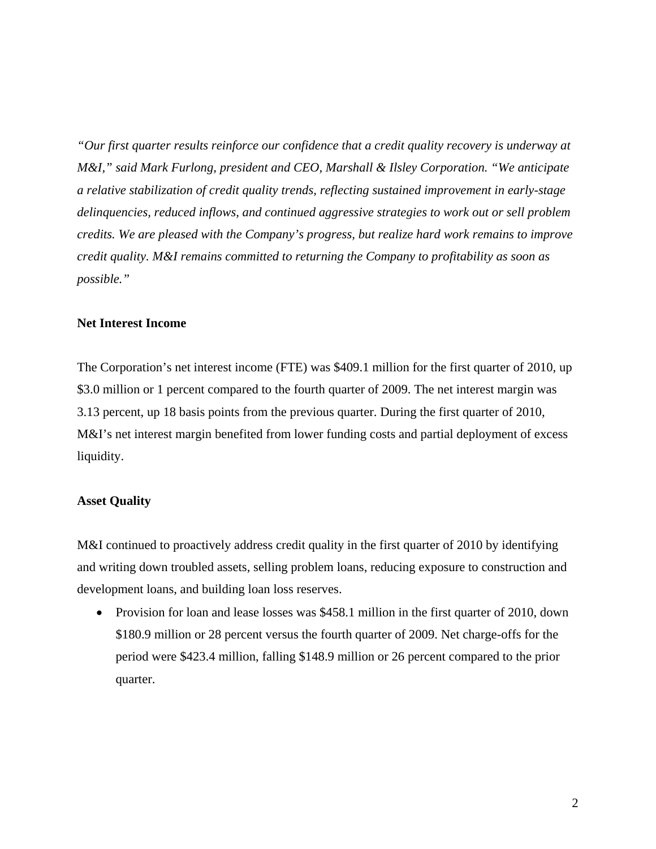*"Our first quarter results reinforce our confidence that a credit quality recovery is underway at M&I," said Mark Furlong, president and CEO, Marshall & Ilsley Corporation. "We anticipate a relative stabilization of credit quality trends, reflecting sustained improvement in early-stage delinquencies, reduced inflows, and continued aggressive strategies to work out or sell problem credits. We are pleased with the Company's progress, but realize hard work remains to improve credit quality. M&I remains committed to returning the Company to profitability as soon as possible."* 

## **Net Interest Income**

The Corporation's net interest income (FTE) was \$409.1 million for the first quarter of 2010, up \$3.0 million or 1 percent compared to the fourth quarter of 2009. The net interest margin was 3.13 percent, up 18 basis points from the previous quarter. During the first quarter of 2010, M&I's net interest margin benefited from lower funding costs and partial deployment of excess liquidity.

## **Asset Quality**

M&I continued to proactively address credit quality in the first quarter of 2010 by identifying and writing down troubled assets, selling problem loans, reducing exposure to construction and development loans, and building loan loss reserves.

• Provision for loan and lease losses was \$458.1 million in the first quarter of 2010, down \$180.9 million or 28 percent versus the fourth quarter of 2009. Net charge-offs for the period were \$423.4 million, falling \$148.9 million or 26 percent compared to the prior quarter.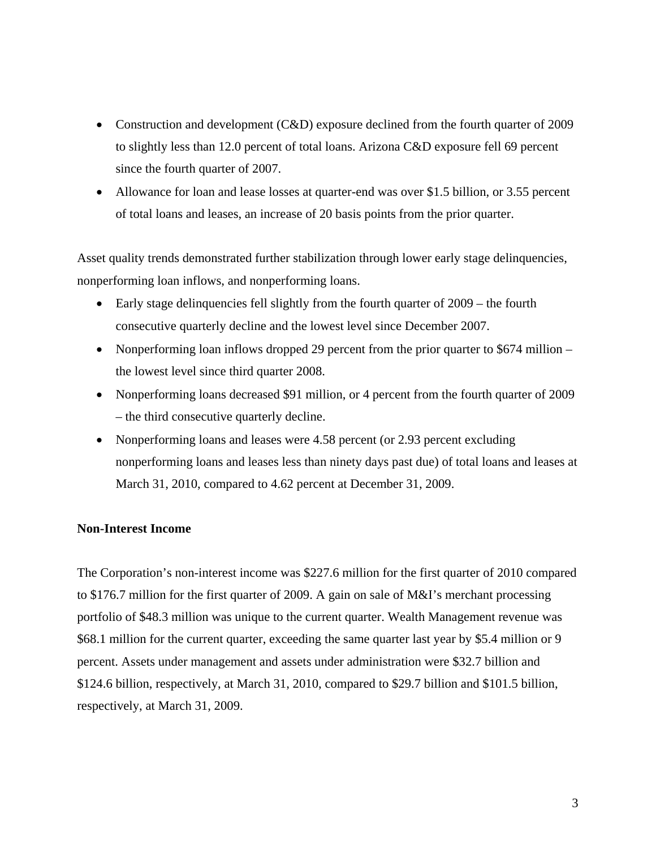- Construction and development (C&D) exposure declined from the fourth quarter of 2009 to slightly less than 12.0 percent of total loans. Arizona C&D exposure fell 69 percent since the fourth quarter of 2007.
- Allowance for loan and lease losses at quarter-end was over \$1.5 billion, or 3.55 percent of total loans and leases, an increase of 20 basis points from the prior quarter.

Asset quality trends demonstrated further stabilization through lower early stage delinquencies, nonperforming loan inflows, and nonperforming loans.

- Early stage delinquencies fell slightly from the fourth quarter of 2009 the fourth consecutive quarterly decline and the lowest level since December 2007.
- Nonperforming loan inflows dropped 29 percent from the prior quarter to \$674 million the lowest level since third quarter 2008.
- Nonperforming loans decreased \$91 million, or 4 percent from the fourth quarter of 2009 – the third consecutive quarterly decline.
- Nonperforming loans and leases were 4.58 percent (or 2.93 percent excluding nonperforming loans and leases less than ninety days past due) of total loans and leases at March 31, 2010, compared to 4.62 percent at December 31, 2009.

# **Non-Interest Income**

The Corporation's non-interest income was \$227.6 million for the first quarter of 2010 compared to \$176.7 million for the first quarter of 2009. A gain on sale of M&I's merchant processing portfolio of \$48.3 million was unique to the current quarter. Wealth Management revenue was \$68.1 million for the current quarter, exceeding the same quarter last year by \$5.4 million or 9 percent. Assets under management and assets under administration were \$32.7 billion and \$124.6 billion, respectively, at March 31, 2010, compared to \$29.7 billion and \$101.5 billion, respectively, at March 31, 2009.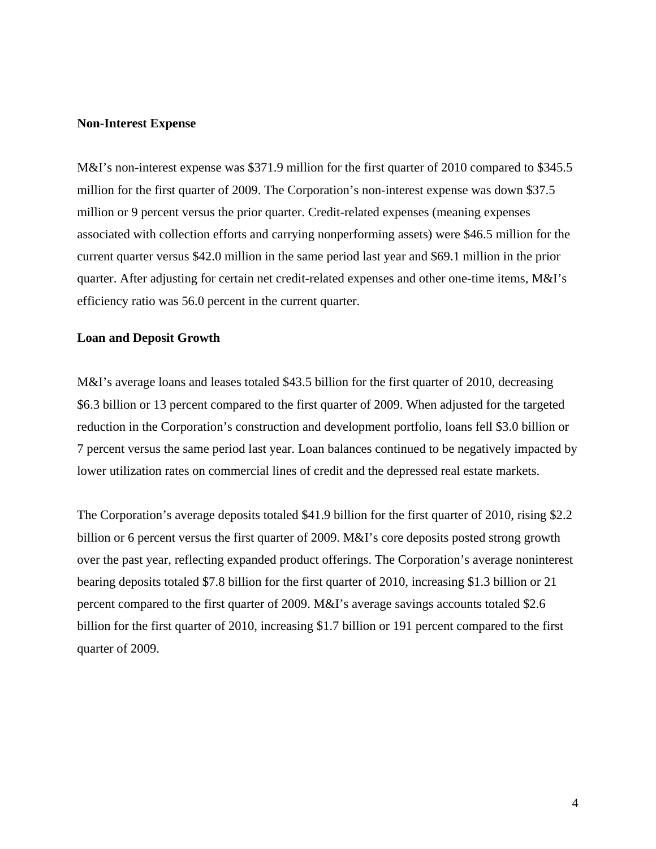### **Non-Interest Expense**

M&I's non-interest expense was \$371.9 million for the first quarter of 2010 compared to \$345.5 million for the first quarter of 2009. The Corporation's non-interest expense was down \$37.5 million or 9 percent versus the prior quarter. Credit-related expenses (meaning expenses associated with collection efforts and carrying nonperforming assets) were \$46.5 million for the current quarter versus \$42.0 million in the same period last year and \$69.1 million in the prior quarter. After adjusting for certain net credit-related expenses and other one-time items, M&I's efficiency ratio was 56.0 percent in the current quarter.

## **Loan and Deposit Growth**

M&I's average loans and leases totaled \$43.5 billion for the first quarter of 2010, decreasing \$6.3 billion or 13 percent compared to the first quarter of 2009. When adjusted for the targeted reduction in the Corporation's construction and development portfolio, loans fell \$3.0 billion or 7 percent versus the same period last year. Loan balances continued to be negatively impacted by lower utilization rates on commercial lines of credit and the depressed real estate markets.

The Corporation's average deposits totaled \$41.9 billion for the first quarter of 2010, rising \$2.2 billion or 6 percent versus the first quarter of 2009. M&I's core deposits posted strong growth over the past year, reflecting expanded product offerings. The Corporation's average noninterest bearing deposits totaled \$7.8 billion for the first quarter of 2010, increasing \$1.3 billion or 21 percent compared to the first quarter of 2009. M&I's average savings accounts totaled \$2.6 billion for the first quarter of 2010, increasing \$1.7 billion or 191 percent compared to the first quarter of 2009.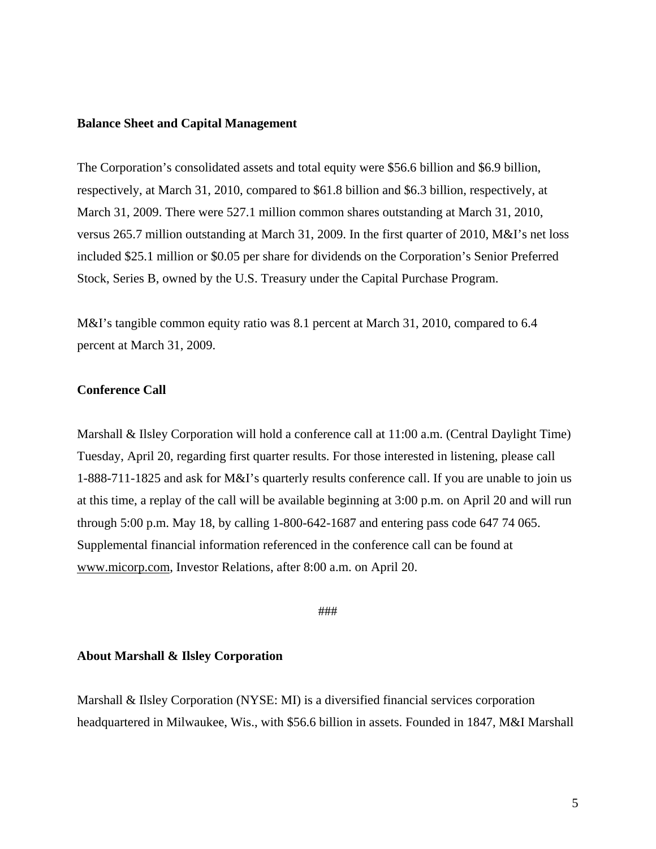#### **Balance Sheet and Capital Management**

The Corporation's consolidated assets and total equity were \$56.6 billion and \$6.9 billion, respectively, at March 31, 2010, compared to \$61.8 billion and \$6.3 billion, respectively, at March 31, 2009. There were 527.1 million common shares outstanding at March 31, 2010, versus 265.7 million outstanding at March 31, 2009. In the first quarter of 2010, M&I's net loss included \$25.1 million or \$0.05 per share for dividends on the Corporation's Senior Preferred Stock, Series B, owned by the U.S. Treasury under the Capital Purchase Program.

M&I's tangible common equity ratio was 8.1 percent at March 31, 2010, compared to 6.4 percent at March 31, 2009.

## **Conference Call**

Marshall & Ilsley Corporation will hold a conference call at 11:00 a.m. (Central Daylight Time) Tuesday, April 20, regarding first quarter results. For those interested in listening, please call 1-888-711-1825 and ask for M&I's quarterly results conference call. If you are unable to join us at this time, a replay of the call will be available beginning at 3:00 p.m. on April 20 and will run through 5:00 p.m. May 18, by calling 1-800-642-1687 and entering pass code 647 74 065. Supplemental financial information referenced in the conference call can be found at www.micorp.com, Investor Relations, after 8:00 a.m. on April 20.

###

#### **About Marshall & Ilsley Corporation**

Marshall & Ilsley Corporation (NYSE: MI) is a diversified financial services corporation headquartered in Milwaukee, Wis., with \$56.6 billion in assets. Founded in 1847, M&I Marshall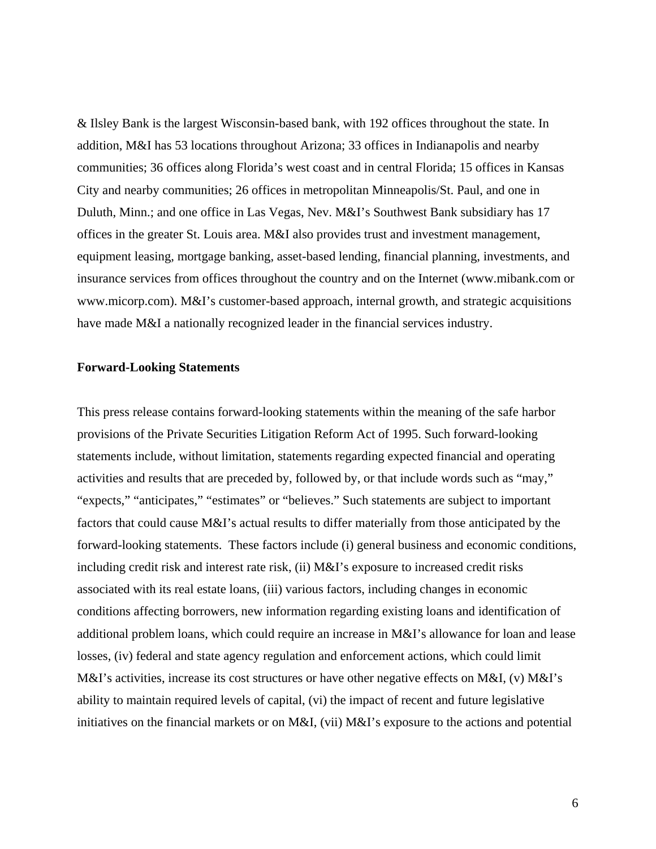& Ilsley Bank is the largest Wisconsin-based bank, with 192 offices throughout the state. In addition, M&I has 53 locations throughout Arizona; 33 offices in Indianapolis and nearby communities; 36 offices along Florida's west coast and in central Florida; 15 offices in Kansas City and nearby communities; 26 offices in metropolitan Minneapolis/St. Paul, and one in Duluth, Minn.; and one office in Las Vegas, Nev. M&I's Southwest Bank subsidiary has 17 offices in the greater St. Louis area. M&I also provides trust and investment management, equipment leasing, mortgage banking, asset-based lending, financial planning, investments, and insurance services from offices throughout the country and on the Internet (www.mibank.com or www.micorp.com). M&I's customer-based approach, internal growth, and strategic acquisitions have made M&I a nationally recognized leader in the financial services industry.

#### **Forward-Looking Statements**

This press release contains forward-looking statements within the meaning of the safe harbor provisions of the Private Securities Litigation Reform Act of 1995. Such forward-looking statements include, without limitation, statements regarding expected financial and operating activities and results that are preceded by, followed by, or that include words such as "may," "expects," "anticipates," "estimates" or "believes." Such statements are subject to important factors that could cause M&I's actual results to differ materially from those anticipated by the forward-looking statements. These factors include (i) general business and economic conditions, including credit risk and interest rate risk, (ii) M&I's exposure to increased credit risks associated with its real estate loans, (iii) various factors, including changes in economic conditions affecting borrowers, new information regarding existing loans and identification of additional problem loans, which could require an increase in M&I's allowance for loan and lease losses, (iv) federal and state agency regulation and enforcement actions, which could limit M&I's activities, increase its cost structures or have other negative effects on M&I, (v) M&I's ability to maintain required levels of capital, (vi) the impact of recent and future legislative initiatives on the financial markets or on M&I, (vii) M&I's exposure to the actions and potential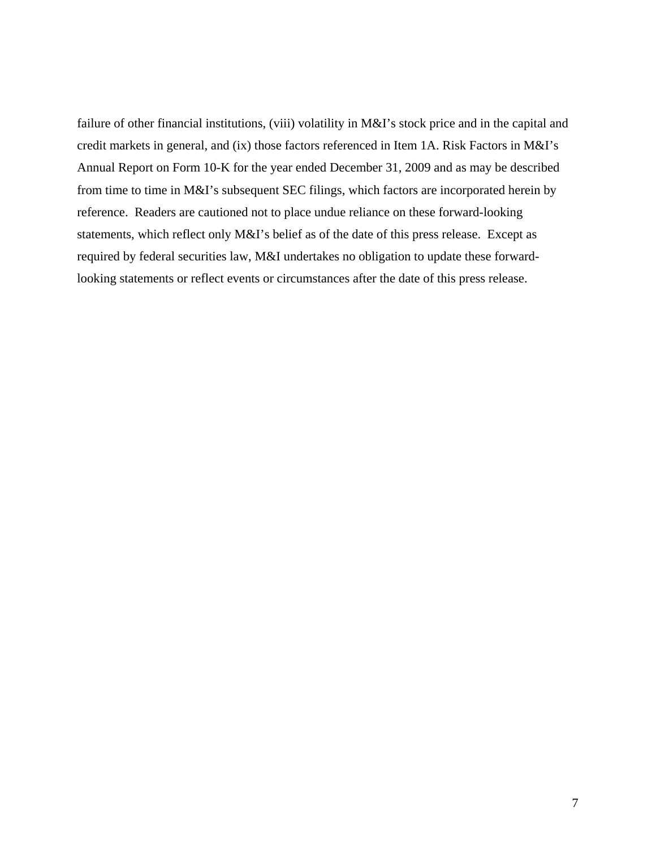failure of other financial institutions, (viii) volatility in M&I's stock price and in the capital and credit markets in general, and (ix) those factors referenced in Item 1A. Risk Factors in M&I's Annual Report on Form 10-K for the year ended December 31, 2009 and as may be described from time to time in M&I's subsequent SEC filings, which factors are incorporated herein by reference. Readers are cautioned not to place undue reliance on these forward-looking statements, which reflect only M&I's belief as of the date of this press release. Except as required by federal securities law, M&I undertakes no obligation to update these forwardlooking statements or reflect events or circumstances after the date of this press release.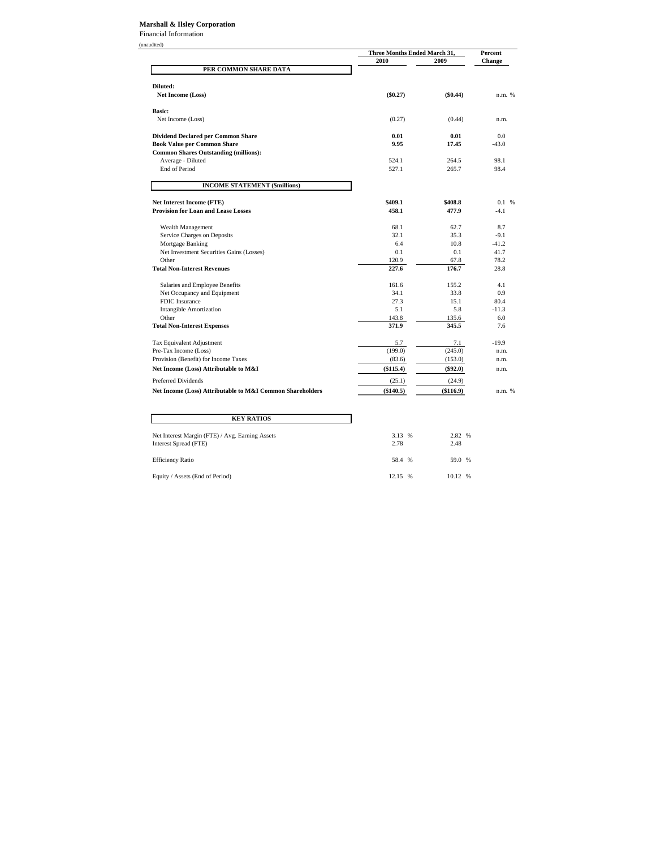#### **Marshall & Ilsley Corporation**

Financial Information

|                                                           |            | Three Months Ended March 31, |         |
|-----------------------------------------------------------|------------|------------------------------|---------|
|                                                           | 2010       | 2009                         | Change  |
| PER COMMON SHARE DATA                                     |            |                              |         |
| Diluted:                                                  |            |                              |         |
| <b>Net Income (Loss)</b>                                  | $(\$0.27)$ | $(\$0.44)$                   | n.m. %  |
| <b>Basic:</b>                                             |            |                              |         |
| Net Income (Loss)                                         | (0.27)     | (0.44)                       | n.m.    |
| <b>Dividend Declared per Common Share</b>                 | 0.01       | 0.01                         | 0.0     |
| <b>Book Value per Common Share</b>                        | 9.95       | 17.45                        | $-43.0$ |
| <b>Common Shares Outstanding (millions):</b>              |            |                              |         |
| Average - Diluted                                         | 524.1      | 264.5                        | 98.1    |
| End of Period                                             | 527.1      | 265.7                        | 98.4    |
| <b>INCOME STATEMENT (\$millions)</b>                      |            |                              |         |
| <b>Net Interest Income (FTE)</b>                          | \$409.1    | \$408.8                      | 0.1%    |
| <b>Provision for Loan and Lease Losses</b>                | 458.1      | 477.9                        | $-4.1$  |
| Wealth Management                                         | 68.1       | 62.7                         | 8.7     |
| Service Charges on Deposits                               | 32.1       | 35.3                         | $-9.1$  |
| Mortgage Banking                                          | 6.4        | 10.8                         | $-41.2$ |
| Net Investment Securities Gains (Losses)                  | 0.1        | 0.1                          | 41.7    |
| Other                                                     | 120.9      | 67.8                         | 78.2    |
| <b>Total Non-Interest Revenues</b>                        | 227.6      | 176.7                        | 28.8    |
| Salaries and Employee Benefits                            | 161.6      | 155.2                        | 4.1     |
| Net Occupancy and Equipment                               | 34.1       | 33.8                         | 0.9     |
| FDIC Insurance                                            | 27.3       | 15.1                         | 80.4    |
| <b>Intangible Amortization</b>                            | 5.1        | 5.8                          | $-11.3$ |
| Other                                                     | 143.8      | 135.6                        | 6.0     |
| <b>Total Non-Interest Expenses</b>                        | 371.9      | 345.5                        | 7.6     |
| Tax Equivalent Adjustment                                 | 5.7        | 7.1                          | $-19.9$ |
| Pre-Tax Income (Loss)                                     | (199.0)    | (245.0)                      | n.m.    |
| Provision (Benefit) for Income Taxes                      | (83.6)     | (153.0)                      | n.m.    |
| Net Income (Loss) Attributable to M&I                     | (\$115.4)  | $(\$92.0)$                   | n.m.    |
| Preferred Dividends                                       | (25.1)     | (24.9)                       |         |
| Net Income (Loss) Attributable to M&I Common Shareholders | (\$140.5)  | (\$116.9)                    | n.m. %  |

| <b>KEY RATIOS</b>                                                        |                |                |  |
|--------------------------------------------------------------------------|----------------|----------------|--|
| Net Interest Margin (FTE) / Avg. Earning Assets<br>Interest Spread (FTE) | 3.13 %<br>2.78 | 2.82 %<br>2.48 |  |
| <b>Efficiency Ratio</b>                                                  | 58.4 %         | 59.0 %         |  |
| Equity / Assets (End of Period)                                          | 12.15 %        | 10.12 %        |  |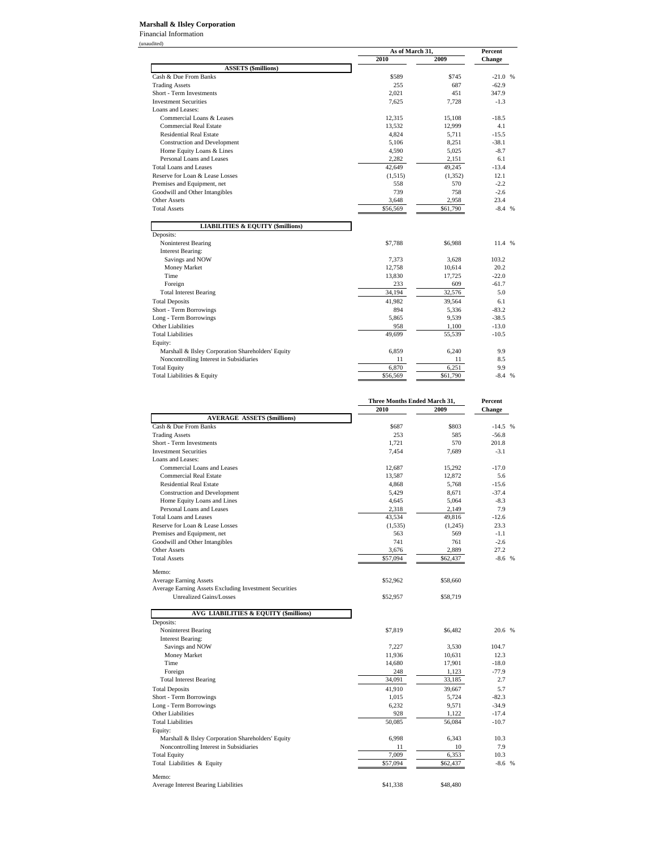#### **Marshall & Ilsley Corporation**

Financial Information (unaudited)

|                                                           | As of March 31, |          | <b>Percent</b> |  |  |
|-----------------------------------------------------------|-----------------|----------|----------------|--|--|
|                                                           | 2010            | 2009     | <b>Change</b>  |  |  |
| <b>ASSETS</b> (\$millions)                                |                 |          |                |  |  |
| Cash & Due From Banks                                     | \$589           | \$745    | $-21.0%$       |  |  |
| <b>Trading Assets</b>                                     | 255             | 687      | $-62.9$        |  |  |
| Short - Term Investments                                  | 2,021           | 451      | 347.9          |  |  |
| <b>Investment Securities</b>                              | 7.625           | 7.728    | $-1.3$         |  |  |
| Loans and Leases:                                         |                 |          |                |  |  |
| Commercial Loans & Leases                                 | 12,315          | 15.108   | $-18.5$        |  |  |
| <b>Commercial Real Estate</b>                             | 13.532          | 12,999   | 4.1            |  |  |
| <b>Residential Real Estate</b>                            | 4,824           | 5,711    | $-15.5$        |  |  |
| <b>Construction and Development</b>                       | 5,106           | 8,251    | $-38.1$        |  |  |
| Home Equity Loans & Lines                                 | 4,590           | 5,025    | $-8.7$         |  |  |
| Personal Loans and Leases                                 | 2,282           | 2,151    | 6.1            |  |  |
| <b>Total Loans and Leases</b>                             | 42,649          | 49.245   | $-13.4$        |  |  |
| Reserve for Loan & Lease Losses                           | (1,515)         | (1,352)  | 12.1           |  |  |
| Premises and Equipment, net                               | 558             | 570      | $-2.2$         |  |  |
| Goodwill and Other Intangibles                            | 739             | 758      | $-2.6$         |  |  |
| <b>Other Assets</b>                                       | 3,648           | 2,958    | 23.4           |  |  |
| <b>Total Assets</b>                                       | \$56,569        | \$61,790 | $-8.4%$        |  |  |
| <b>LIABILITIES &amp; EQUITY (\$millions)</b><br>Deposits: |                 |          |                |  |  |
| Noninterest Bearing                                       | \$7,788         | \$6,988  | 11.4 %         |  |  |
| <b>Interest Bearing:</b>                                  |                 |          |                |  |  |
| Savings and NOW                                           | 7,373           | 3.628    | 103.2          |  |  |
| Money Market                                              | 12,758          | 10.614   | 20.2           |  |  |
| Time                                                      | 13,830          | 17,725   | $-22.0$        |  |  |
| Foreign                                                   | 233             | 609      | $-61.7$        |  |  |
| <b>Total Interest Bearing</b>                             | 34,194          | 32,576   | 5.0            |  |  |
| <b>Total Deposits</b>                                     | 41,982          | 39,564   | 6.1            |  |  |
| Short - Term Borrowings                                   | 894             | 5,336    | $-83.2$        |  |  |
| Long - Term Borrowings                                    | 5.865           | 9.539    | $-38.5$        |  |  |
| <b>Other Liabilities</b>                                  | 958             | 1,100    | $-13.0$        |  |  |
| <b>Total Liabilities</b>                                  | 49,699          | 55,539   | $-10.5$        |  |  |
| Equity:                                                   |                 |          |                |  |  |
| Marshall & Ilsley Corporation Shareholders' Equity        | 6,859           | 6,240    | 9.9            |  |  |
| Noncontrolling Interest in Subsidiaries                   | 11              | 11       | 8.5            |  |  |
|                                                           |                 |          |                |  |  |
| <b>Total Equity</b>                                       | 6,870           | 6,251    | 9.9            |  |  |

|                                                        |          | Three Months Ended March 31, |               |
|--------------------------------------------------------|----------|------------------------------|---------------|
|                                                        | 2010     | 2009                         | <b>Change</b> |
| <b>AVERAGE ASSETS (\$millions)</b>                     |          |                              |               |
| Cash & Due From Banks                                  | \$687    | \$803                        | $-14.5$ %     |
| <b>Trading Assets</b>                                  | 253      | 585                          | $-56.8$       |
| Short - Term Investments                               | 1.721    | 570                          | 201.8         |
| <b>Investment Securities</b>                           | 7,454    | 7,689                        | $-3.1$        |
| Loans and Leases:                                      |          |                              |               |
| Commercial Loans and Leases                            | 12,687   | 15,292                       | $-17.0$       |
| <b>Commercial Real Estate</b>                          | 13,587   | 12,872                       | 5.6           |
| <b>Residential Real Estate</b>                         | 4,868    | 5.768                        | $-15.6$       |
| Construction and Development                           | 5,429    | 8,671                        | $-37.4$       |
| Home Equity Loans and Lines                            | 4,645    | 5,064                        | $-8.3$        |
| Personal Loans and Leases                              | 2,318    | 2,149                        | 7.9           |
| <b>Total Loans and Leases</b>                          | 43,534   | 49,816                       | $-12.6$       |
| Reserve for Loan & Lease Losses                        | (1,535)  | (1,245)                      | 23.3          |
| Premises and Equipment, net                            | 563      | 569                          | $-1.1$        |
| Goodwill and Other Intangibles                         | 741      | 761                          | $-2.6$        |
| <b>Other Assets</b>                                    | 3,676    | 2,889                        | 27.2          |
| <b>Total Assets</b>                                    | \$57,094 | \$62,437                     | $-8.6$ %      |
|                                                        |          |                              |               |
| Memo:                                                  |          |                              |               |
| <b>Average Earning Assets</b>                          | \$52,962 | \$58,660                     |               |
| Average Earning Assets Excluding Investment Securities |          |                              |               |
| Unrealized Gains/Losses                                | \$52,957 | \$58,719                     |               |
|                                                        |          |                              |               |
| <b>AVG LIABILITIES &amp; EQUITY (\$millions)</b>       |          |                              |               |
| Deposits:                                              |          |                              |               |
| Noninterest Bearing                                    | \$7,819  | \$6,482                      | 20.6 %        |
| <b>Interest Bearing:</b>                               |          |                              |               |
| Savings and NOW                                        | 7,227    | 3,530                        | 104.7         |
| Money Market                                           | 11,936   | 10,631                       | 12.3          |
| Time                                                   | 14,680   | 17,901                       | $-18.0$       |
| Foreign                                                | 248      | 1,123                        | $-77.9$       |
| <b>Total Interest Bearing</b>                          | 34,091   | 33,185                       | 2.7           |
| <b>Total Deposits</b>                                  | 41,910   | 39.667                       | 5.7           |
| Short - Term Borrowings                                | 1,015    | 5,724                        | $-82.3$       |
| Long - Term Borrowings                                 | 6,232    | 9,571                        | $-34.9$       |
| Other Liabilities                                      | 928      | 1,122                        | $-17.4$       |
| <b>Total Liabilities</b>                               | 50,085   | 56,084                       | $-10.7$       |
| Equity:                                                |          |                              |               |
| Marshall & Ilsley Corporation Shareholders' Equity     | 6,998    | 6,343                        | 10.3          |
| Noncontrolling Interest in Subsidiaries                | 11       | 10                           | 7.9           |
| <b>Total Equity</b>                                    | 7.009    | 6.353                        | 10.3          |
| Total Liabilities & Equity                             | \$57,094 | \$62,437                     | $-8.6$ %      |
|                                                        |          |                              |               |
| Memo:                                                  |          |                              |               |
| Average Interest Bearing Liabilities                   | \$41,338 | \$48,480                     |               |